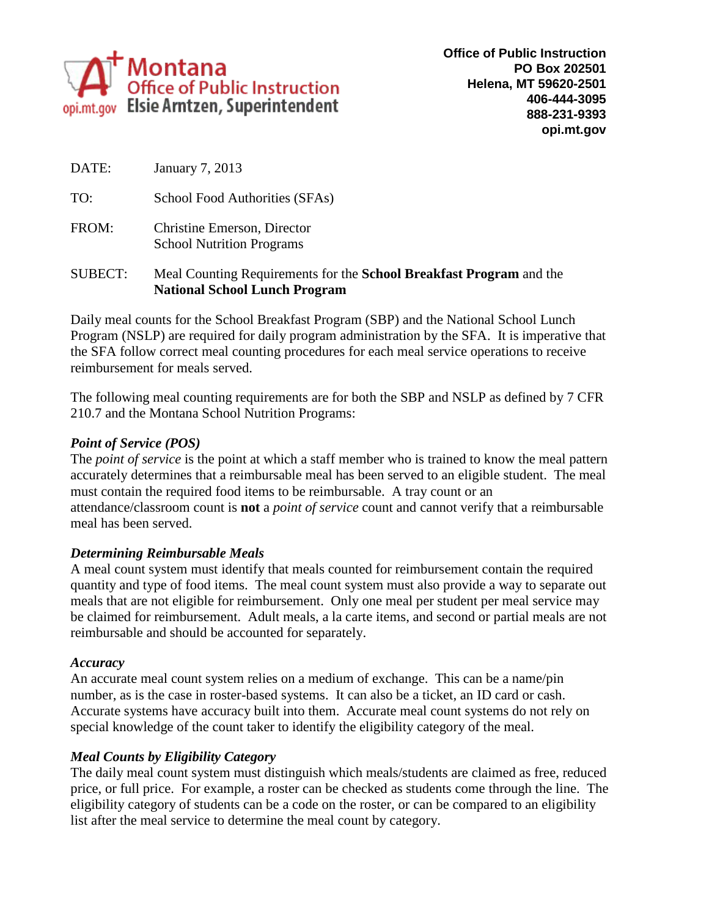

TO: School Food Authorities (SFAs)

FROM: Christine Emerson, Director School Nutrition Programs

### SUBECT: Meal Counting Requirements for the **School Breakfast Program** and the **National School Lunch Program**

Daily meal counts for the School Breakfast Program (SBP) and the National School Lunch Program (NSLP) are required for daily program administration by the SFA. It is imperative that the SFA follow correct meal counting procedures for each meal service operations to receive reimbursement for meals served.

The following meal counting requirements are for both the SBP and NSLP as defined by 7 CFR 210.7 and the Montana School Nutrition Programs:

# *Point of Service (POS)*

The *point of service* is the point at which a staff member who is trained to know the meal pattern accurately determines that a reimbursable meal has been served to an eligible student. The meal must contain the required food items to be reimbursable. A tray count or an attendance/classroom count is **not** a *point of service* count and cannot verify that a reimbursable meal has been served.

# *Determining Reimbursable Meals*

A meal count system must identify that meals counted for reimbursement contain the required quantity and type of food items. The meal count system must also provide a way to separate out meals that are not eligible for reimbursement. Only one meal per student per meal service may be claimed for reimbursement. Adult meals, a la carte items, and second or partial meals are not reimbursable and should be accounted for separately.

# *Accuracy*

An accurate meal count system relies on a medium of exchange. This can be a name/pin number, as is the case in roster-based systems. It can also be a ticket, an ID card or cash. Accurate systems have accuracy built into them. Accurate meal count systems do not rely on special knowledge of the count taker to identify the eligibility category of the meal.

# *Meal Counts by Eligibility Category*

The daily meal count system must distinguish which meals/students are claimed as free, reduced price, or full price. For example, a roster can be checked as students come through the line. The eligibility category of students can be a code on the roster, or can be compared to an eligibility list after the meal service to determine the meal count by category.